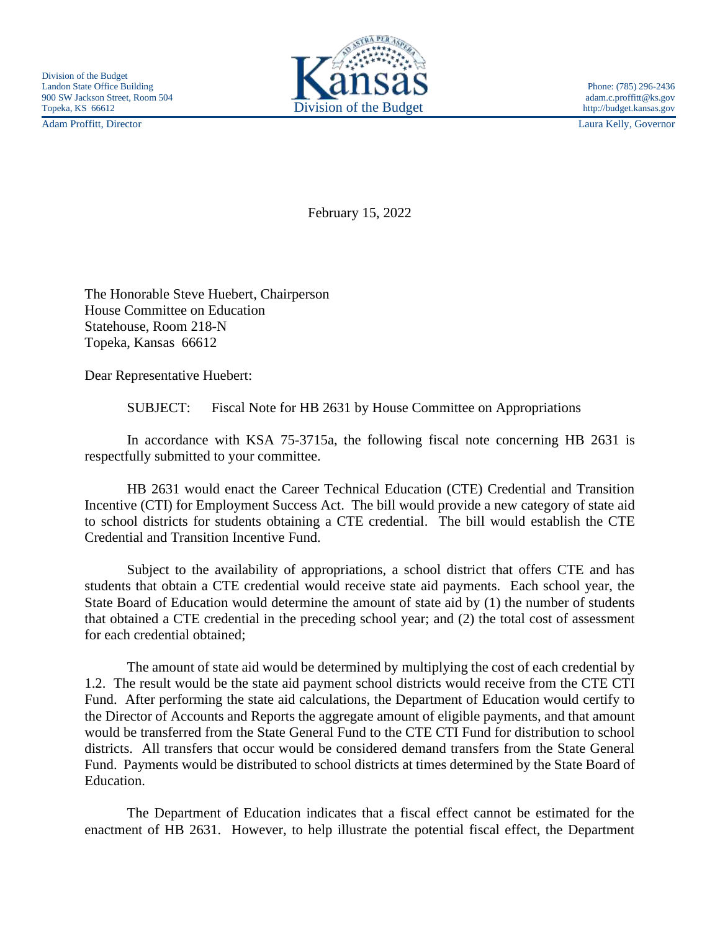Adam Proffitt, Director Laura Kelly, Governor



February 15, 2022

The Honorable Steve Huebert, Chairperson House Committee on Education Statehouse, Room 218-N Topeka, Kansas 66612

Dear Representative Huebert:

SUBJECT: Fiscal Note for HB 2631 by House Committee on Appropriations

In accordance with KSA 75-3715a, the following fiscal note concerning HB 2631 is respectfully submitted to your committee.

HB 2631 would enact the Career Technical Education (CTE) Credential and Transition Incentive (CTI) for Employment Success Act. The bill would provide a new category of state aid to school districts for students obtaining a CTE credential. The bill would establish the CTE Credential and Transition Incentive Fund.

Subject to the availability of appropriations, a school district that offers CTE and has students that obtain a CTE credential would receive state aid payments. Each school year, the State Board of Education would determine the amount of state aid by (1) the number of students that obtained a CTE credential in the preceding school year; and (2) the total cost of assessment for each credential obtained;

The amount of state aid would be determined by multiplying the cost of each credential by 1.2. The result would be the state aid payment school districts would receive from the CTE CTI Fund. After performing the state aid calculations, the Department of Education would certify to the Director of Accounts and Reports the aggregate amount of eligible payments, and that amount would be transferred from the State General Fund to the CTE CTI Fund for distribution to school districts. All transfers that occur would be considered demand transfers from the State General Fund. Payments would be distributed to school districts at times determined by the State Board of Education.

The Department of Education indicates that a fiscal effect cannot be estimated for the enactment of HB 2631. However, to help illustrate the potential fiscal effect, the Department